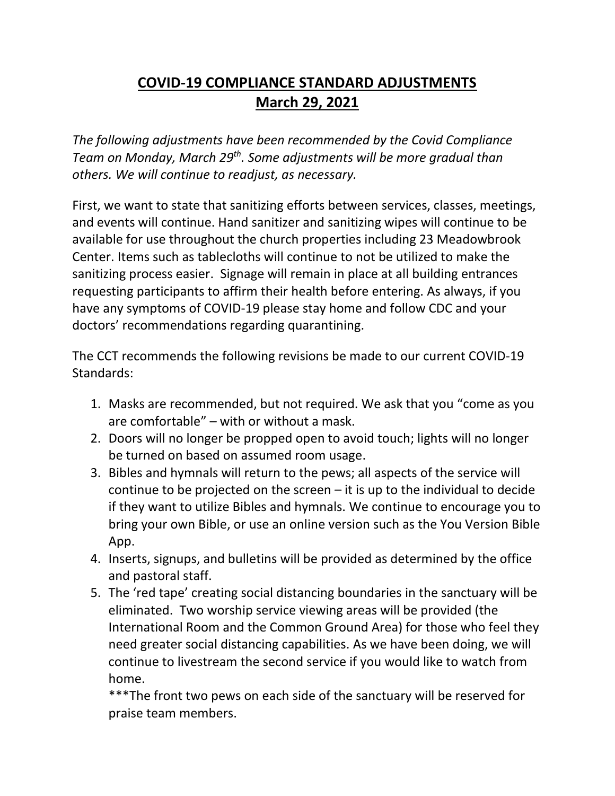## **COVID-19 COMPLIANCE STANDARD ADJUSTMENTS March 29, 2021**

*The following adjustments have been recommended by the Covid Compliance Team on Monday, March 29th . Some adjustments will be more gradual than others. We will continue to readjust, as necessary.*

First, we want to state that sanitizing efforts between services, classes, meetings, and events will continue. Hand sanitizer and sanitizing wipes will continue to be available for use throughout the church properties including 23 Meadowbrook Center. Items such as tablecloths will continue to not be utilized to make the sanitizing process easier. Signage will remain in place at all building entrances requesting participants to affirm their health before entering. As always, if you have any symptoms of COVID-19 please stay home and follow CDC and your doctors' recommendations regarding quarantining.

The CCT recommends the following revisions be made to our current COVID-19 Standards:

- 1. Masks are recommended, but not required. We ask that you "come as you are comfortable" – with or without a mask.
- 2. Doors will no longer be propped open to avoid touch; lights will no longer be turned on based on assumed room usage.
- 3. Bibles and hymnals will return to the pews; all aspects of the service will continue to be projected on the screen – it is up to the individual to decide if they want to utilize Bibles and hymnals. We continue to encourage you to bring your own Bible, or use an online version such as the You Version Bible App.
- 4. Inserts, signups, and bulletins will be provided as determined by the office and pastoral staff.
- 5. The 'red tape' creating social distancing boundaries in the sanctuary will be eliminated. Two worship service viewing areas will be provided (the International Room and the Common Ground Area) for those who feel they need greater social distancing capabilities. As we have been doing, we will continue to livestream the second service if you would like to watch from home.

\*\*\*The front two pews on each side of the sanctuary will be reserved for praise team members.